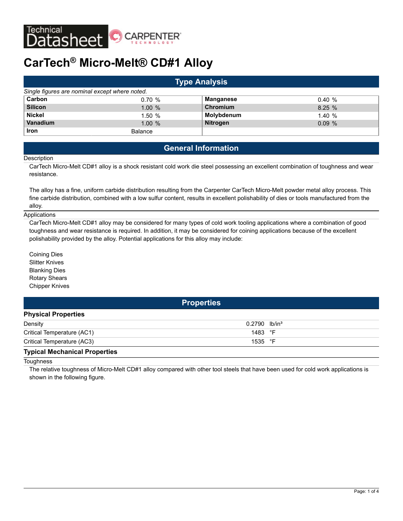

# **CarTech® Micro-Melt® CD#1 Alloy**

| <b>Type Analysis</b>                           |                |                  |           |  |  |
|------------------------------------------------|----------------|------------------|-----------|--|--|
| Single figures are nominal except where noted. |                |                  |           |  |  |
| Carbon                                         | 0.70%          | <b>Manganese</b> | 0.40%     |  |  |
| <b>Silicon</b>                                 | 1.00%          | Chromium         | 8.25%     |  |  |
| <b>Nickel</b>                                  | 1.50%          | Molybdenum       | 1.40%     |  |  |
| <b>Vanadium</b>                                | $1.00 \%$      | <b>Nitrogen</b>  | $0.09 \%$ |  |  |
| <b>Iron</b>                                    | <b>Balance</b> |                  |           |  |  |

# **General Information**

#### **Description**

CarTech Micro-Melt CD#1 alloy is a shock resistant cold work die steel possessing an excellent combination of toughness and wear resistance.

The alloy has a fine, uniform carbide distribution resulting from the Carpenter CarTech Micro-Melt powder metal alloy process. This fine carbide distribution, combined with a low sulfur content, results in excellent polishability of dies or tools manufactured from the alloy.

#### **Applications**

CarTech Micro-Melt CD#1 alloy may be considered for many types of cold work tooling applications where a combination of good toughness and wear resistance is required. In addition, it may be considered for coining applications because of the excellent polishability provided by the alloy. Potential applications for this alloy may include:

Coining Dies Slitter Knives Blanking Dies Rotary Shears Chipper Knives

**Properties**

| <b>Physical Properties</b>                                    |                             |  |
|---------------------------------------------------------------|-----------------------------|--|
| Density                                                       | $0.2790$ lb/in <sup>3</sup> |  |
| Critical Temperature (AC1)                                    | 1483 °F                     |  |
| Critical Temperature (AC3)                                    | 1535 $\degree$ F            |  |
| The chain between the continued in Property and the continued |                             |  |

#### **Typical Mechanical Properties**

**Toughness** 

The relative toughness of Micro-Melt CD#1 alloy compared with other tool steels that have been used for cold work applications is shown in the following figure.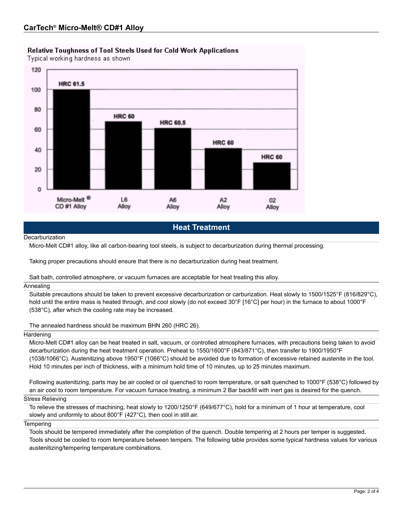## Relative Toughness of Tool Steels Used for Cold Work Applications

Typical working hardness as shown



## **Heat Treatment**

#### **Decarburization**

Micro-Melt CD#1 alloy, like all carbon-bearing tool steels, is subject to decarburization during thermal processing.

Taking proper precautions should ensure that there is no decarburization during heat treatment.

#### Salt bath, controlled atmosphere, or vacuum furnaces are acceptable for heat treating this alloy.

#### Annealing

Suitable precautions should be taken to prevent excessive decarburization or carburization. Heat slowly to 1500/1525°F (816/829°C), hold until the entire mass is heated through, and cool slowly (do not exceed 30°F [16°C] per hour) in the furnace to about 1000°F (538°C), after which the cooling rate may be increased.

The annealed hardness should be maximum BHN 260 (HRC 26).

#### Hardening

Micro-Melt CD#1 alloy can be heat treated in salt, vacuum, or controlled atmosphere furnaces, with precautions being taken to avoid decarburization during the heat treatment operation. Preheat to 1550/1600°F (843/871°C), then transfer to 1900/1950°F (1038/1066°C). Austenitizing above 1950°F (1066°C) should be avoided due to formation of excessive retained austenite in the tool. Hold 10 minutes per inch of thickness, with a minimum hold time of 10 minutes, up to 25 minutes maximum.

Following austenitizing, parts may be air cooled or oil quenched to room temperature, or salt quenched to 1000°F (538°C) followed by an air cool to room temperature. For vacuum furnace treating, a minimum 2 Bar backfill with inert gas is desired for the quench.

#### Stress Relieving

To relieve the stresses of machining, heat slowly to 1200/1250°F (649/677°C), hold for a minimum of 1 hour at temperature, cool slowly and uniformly to about 800°F (427°C), then cool in still air.

#### **Tempering**

Tools should be tempered immediately after the completion of the quench. Double tempering at 2 hours per temper is suggested. Tools should be cooled to room temperature between tempers. The following table provides some typical hardness values for various austenitizing/tempering temperature combinations.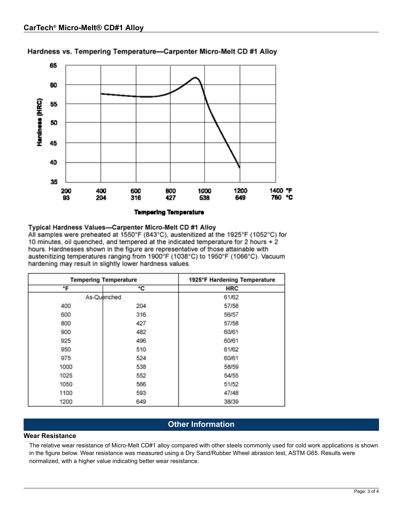

Hardness vs. Tempering Temperature-Carpenter Micro-Melt CD #1 Alloy

## Typical Hardness Values-Carpenter Micro-Melt CD #1 Alloy

All samples were preheated at 1550°F (843°C), austenitized at the 1925°F (1052°C) for 10 minutes, oil quenched, and tempered at the indicated temperature for 2 hours + 2 hours. Hardnesses shown in the figure are representative of those attainable with austenitizing temperatures ranging from 1900°F (1038°C) to 1950°F (1066°C). Vacuum hardening may result in slightly lower hardness values.

|      | <b>Tempering Temperature</b> | 1925°F Hardening Temperature |
|------|------------------------------|------------------------------|
| °F   | °C                           | <b>HRC</b>                   |
|      | As-Quenched                  | 61/62                        |
| 400  | 204                          | 57/58                        |
| 600  | 316                          | 56/57                        |
| 800  | 427                          | 57/58                        |
| 900  | 482                          | 60/61                        |
| 925  | 496                          | 60/61                        |
| 950  | 510                          | 61/62                        |
| 975  | 524                          | 60/61                        |
| 1000 | 538                          | 58/59                        |
| 1025 | 552                          | 54/55                        |
| 1050 | 566                          | 51/52                        |
| 1100 | 593                          | 47/48                        |
| 1200 | 649                          | 38/39                        |

# **Other Information**

#### **Wear Resistance**

The relative wear resistance of Micro-Melt CD#1 alloy compared with other steels commonly used for cold work applications is shown in the figure below. Wear resistance was measured using a Dry Sand/Rubber Wheel abrasion test, ASTM G65. Results were normalized, with a higher value indicating better wear resistance.